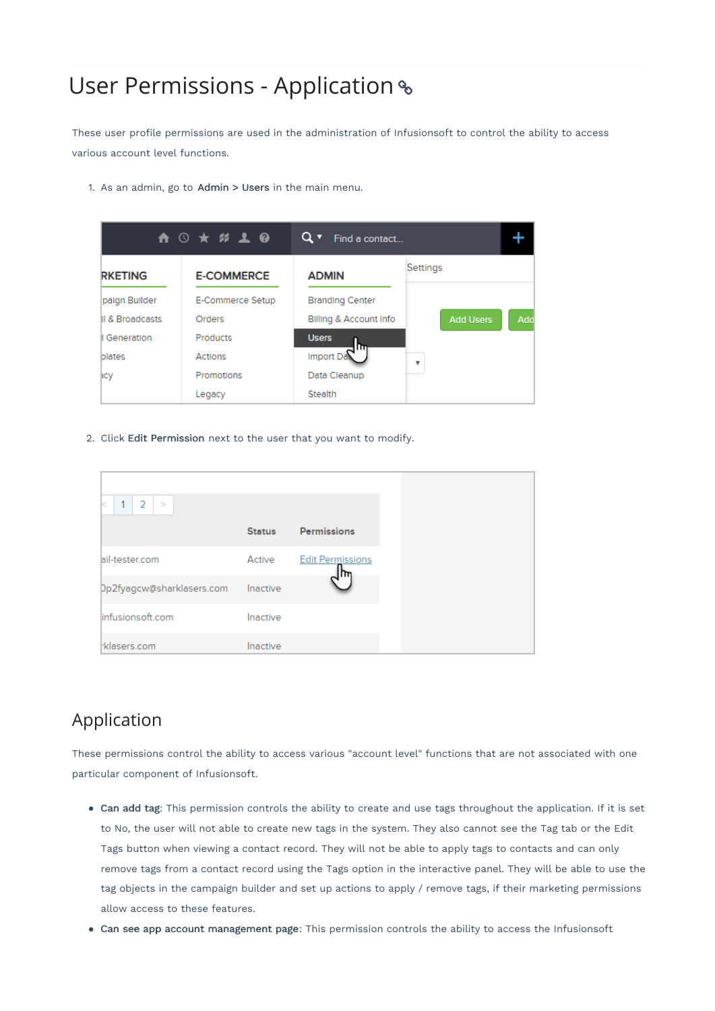# User Permissions - Application

These user profile permissions are used in the administration of Infusionsoft to control the ability to access various account level functions.

1. As an admin, go to Admin > Users in the main menu.



2. Click Edit Permission next to the user that you want to modify.

| $2$ ><br>1                |               |                         |
|---------------------------|---------------|-------------------------|
|                           | <b>Status</b> | <b>Permissions</b>      |
| ail-tester.com            | Active        | <b>Edit Permissions</b> |
| Dp2fyagcw@sharklasers.com | Inactive      |                         |
| linfusions oft.com        | Inactive      |                         |
| klasers.com               | Inactive      |                         |

# Application

These permissions control the ability to access various "account level" functions that are not associated with one particular component of Infusionsoft.

- Can add tag: This permission controls the ability to create and use tags throughout the application. If it is set to No, the user will not able to create new tags in the system. They also cannot see the Tag tab or the Edit Tags button when viewing a contact record. They will not be able to apply tags to contacts and can only remove tags from a contact record using the Tags option in the interactive panel. They will be able to use the tag objects in the campaign builder and set up actions to apply / remove tags, if their marketing permissions allow access to these features.
- Can see app account management page: This permission controls the ability to access the Infusionsoft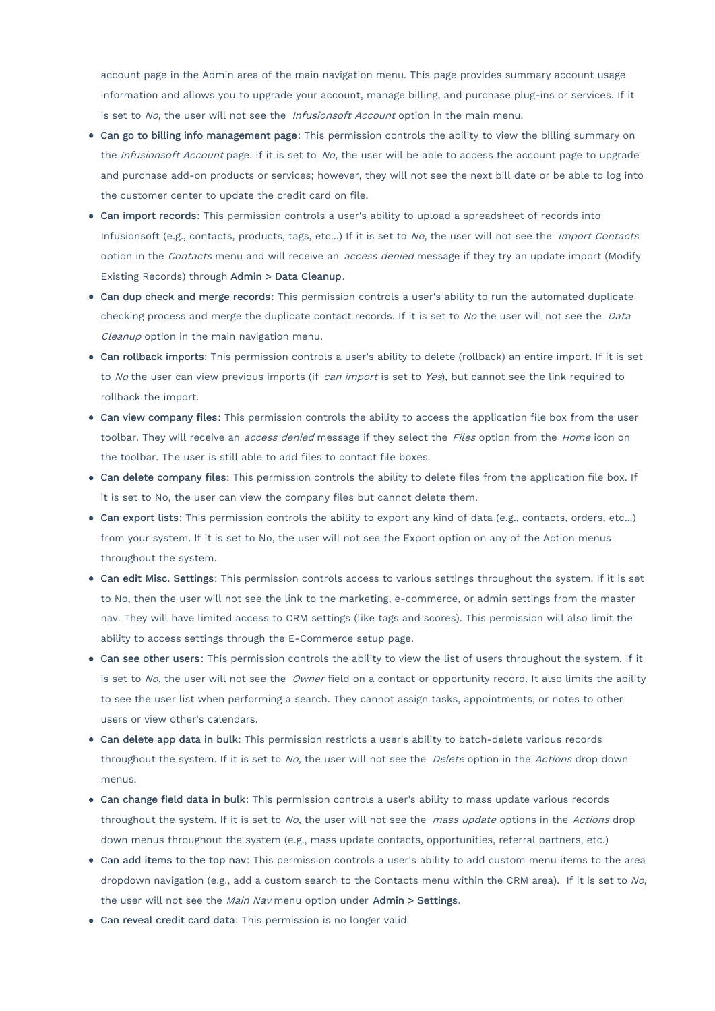account page in the Admin area of the main navigation menu. This page provides summary account usage information and allows you to upgrade your account, manage billing, and purchase plug-ins or services. If it is set to No, the user will not see the Infusionsoft Account option in the main menu.

- Can go to billing info management page: This permission controls the ability to view the billing summary on the Infusionsoft Account page. If it is set to No, the user will be able to access the account page to upgrade and purchase add-on products or services; however, they will not see the next bill date or be able to log into the customer center to update the credit card on file.
- Can import records: This permission controls a user's ability to upload a spreadsheet of records into Infusionsoft (e.g., contacts, products, tags, etc...) If it is set to No, the user will not see the Import Contacts option in the Contacts menu and will receive an access denied message if they try an update import (Modify Existing Records) through Admin > Data Cleanup.
- Can dup check and merge records: This permission controls a user's ability to run the automated duplicate checking process and merge the duplicate contact records. If it is set to No the user will not see the Data Cleanup option in the main navigation menu.
- Can rollback imports: This permission controls a user's ability to delete (rollback) an entire import. If it is set to No the user can view previous imports (if can import is set to Yes), but cannot see the link required to rollback the import.
- Can view company files: This permission controls the ability to access the application file box from the user toolbar. They will receive an *access denied* message if they select the Files option from the Home icon on the toolbar. The user is still able to add files to contact file boxes.
- Can delete company files: This permission controls the ability to delete files from the application file box. If it is set to No, the user can view the company files but cannot delete them.
- Can export lists: This permission controls the ability to export any kind of data (e.g., contacts, orders, etc...) from your system. If it is set to No, the user will not see the Export option on any of the Action menus throughout the system.
- Can edit Misc. Settings: This permission controls access to various settings throughout the system. If it is set to No, then the user will not see the link to the marketing, e-commerce, or admin settings from the master nav. They will have limited access to CRM settings (like tags and scores). This permission will also limit the ability to access settings through the E-Commerce setup page.
- Can see other users: This permission controls the ability to view the list of users throughout the system. If it is set to No, the user will not see the Owner field on a contact or opportunity record. It also limits the ability to see the user list when performing a search. They cannot assign tasks, appointments, or notes to other users or view other's calendars.
- Can delete app data in bulk: This permission restricts a user's ability to batch-delete various records throughout the system. If it is set to No, the user will not see the *Delete* option in the Actions drop down menus.
- Can change field data in bulk: This permission controls a user's ability to mass update various records throughout the system. If it is set to No, the user will not see the mass update options in the Actions drop down menus throughout the system (e.g., mass update contacts, opportunities, referral partners, etc.)
- Can add items to the top nav: This permission controls a user's ability to add custom menu items to the area dropdown navigation (e.g., add a custom search to the Contacts menu within the CRM area). If it is set to No, the user will not see the Main Nav menu option under Admin > Settings.
- Can reveal credit card data: This permission is no longer valid.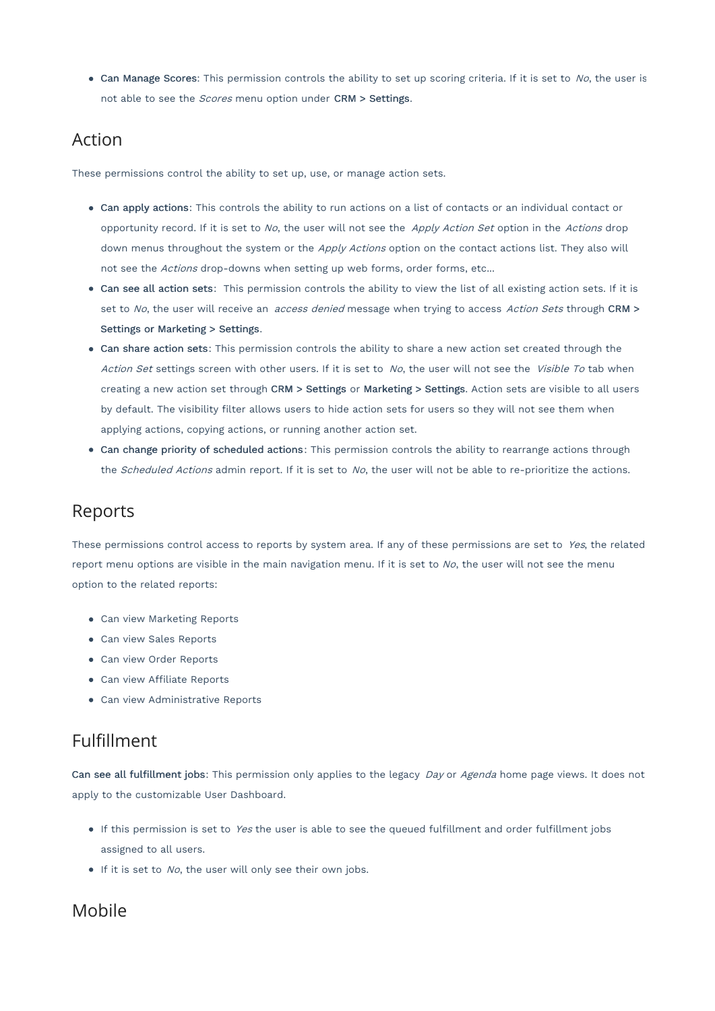$\bullet$  Can Manage Scores: This permission controls the ability to set up scoring criteria. If it is set to No, the user is not able to see the *Scores* menu option under CRM > Settings.

### Action

These permissions control the ability to set up, use, or manage action sets.

- Can apply actions: This controls the ability to run actions on a list of contacts or an individual contact or opportunity record. If it is set to No, the user will not see the Apply Action Set option in the Actions drop down menus throughout the system or the Apply Actions option on the contact actions list. They also will not see the Actions drop-downs when setting up web forms, order forms, etc...
- Can see all action sets: This permission controls the ability to view the list of all existing action sets. If it is set to No, the user will receive an *access denied* message when trying to access Action Sets through CRM > Settings or Marketing > Settings.
- Can share action sets: This permission controls the ability to share a new action set created through the Action Set settings screen with other users. If it is set to No, the user will not see the Visible To tab when creating a new action set through CRM > Settings or Marketing > Settings. Action sets are visible to all users by default. The visibility filter allows users to hide action sets for users so they will not see them when applying actions, copying actions, or running another action set.
- Can change priority of scheduled actions: This permission controls the ability to rearrange actions through the Scheduled Actions admin report. If it is set to No, the user will not be able to re-prioritize the actions.

## Reports

These permissions control access to reports by system area. If any of these permissions are set to Yes, the related report menu options are visible in the main navigation menu. If it is set to  $N$ o, the user will not see the menu option to the related reports:

- Can view Marketing Reports
- Can view Sales Reports
- Can view Order Reports
- Can view Affiliate Reports
- Can view Administrative Reports

# Fulfillment

Can see all fulfillment jobs: This permission only applies to the legacy Day or Agenda home page views. It does not apply to the customizable User Dashboard.

- If this permission is set to Yes the user is able to see the queued fulfillment and order fulfillment jobs assigned to all users.
- $\bullet$  If it is set to No, the user will only see their own jobs.

#### Mobile